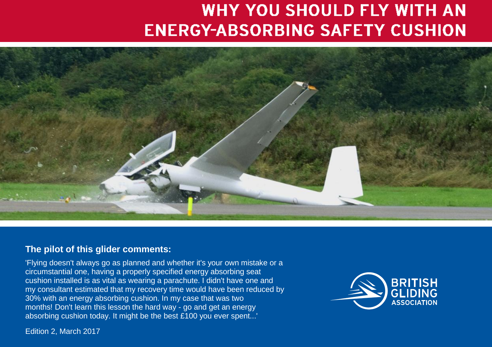# **WHY YOU SHOULD FLY WITH AN ENERGY-ABSORBING SAFETY CUSHION**



#### **The pilot of this glider comments:**

'Flying doesn't always go as planned and whether it's your own mistake or a circumstantial one, having a properly specified energy absorbing seat cushion installed is as vital as wearing a parachute. I didn't have one and my consultant estimated that my recovery time would have been reduced by 30% with an energy absorbing cushion. In my case that was two months! Don't learn this lesson the hard way - go and get an energy absorbing cushion today. It might be the best £100 you ever spent...'



Edition 2, March 2017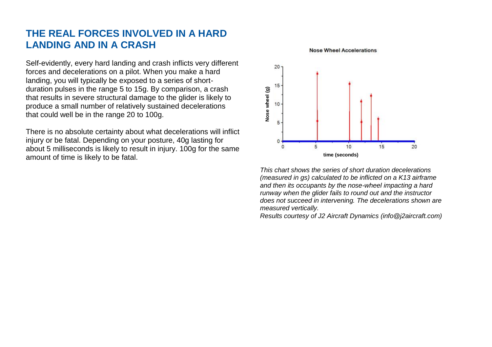#### **THE REAL FORCES INVOLVED IN A HARD LANDING AND IN A CRASH**

Self-evidently, every hard landing and crash inflicts very different forces and decelerations on a pilot. When you make a hard landing, you will typically be exposed to a series of shortduration pulses in the range 5 to 15g. By comparison, a crash that results in severe structural damage to the glider is likely to produce a small number of relatively sustained decelerations that could well be in the range 20 to 100g.

There is no absolute certainty about what decelerations will inflict injury or be fatal. Depending on your posture, 40g lasting for about 5 milliseconds is likely to result in injury. 100g for the same amount of time is likely to be fatal.



**Nose Wheel Accelerations** 

*This chart shows the series of short duration decelerations (measured in gs) calculated to be inflicted on a K13 airframe and then its occupants by the nose-wheel impacting a hard runway when the glider fails to round out and the instructor does not succeed in intervening. The decelerations shown are measured vertically.* 

*Results courtesy of J2 Aircraft Dynamics (info@j2aircraft.com)*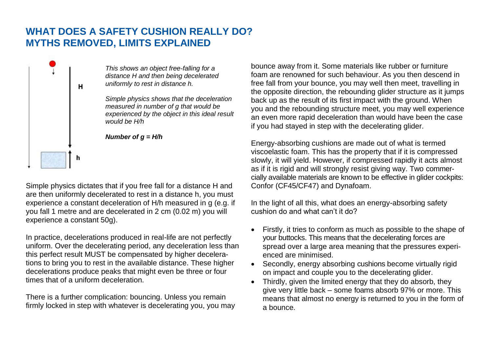#### **WHAT DOES A SAFETY CUSHION REALLY DO? MYTHS REMOVED, LIMITS EXPLAINED**



*This shows an object free-falling for a distance H and then being decelerated uniformly to rest in distance h.* 

*Simple physics shows that the deceleration measured in number of g that would be experienced by the object in this ideal result would be H/h*



Simple physics dictates that if you free fall for a distance H and are then uniformly decelerated to rest in a distance h, you must experience a constant deceleration of H/h measured in g (e.g. if you fall 1 metre and are decelerated in 2 cm (0.02 m) you will experience a constant 50g).

In practice, decelerations produced in real-life are not perfectly uniform. Over the decelerating period, any deceleration less than this perfect result MUST be compensated by higher decelerations to bring you to rest in the available distance. These higher decelerations produce peaks that might even be three or four times that of a uniform deceleration.

There is a further complication: bouncing. Unless you remain firmly locked in step with whatever is decelerating you, you may bounce away from it. Some materials like rubber or furniture foam are renowned for such behaviour. As you then descend in free fall from your bounce, you may well then meet, travelling in the opposite direction, the rebounding glider structure as it jumps back up as the result of its first impact with the ground. When you and the rebounding structure meet, you may well experience an even more rapid deceleration than would have been the case if you had stayed in step with the decelerating glider.

Energy-absorbing cushions are made out of what is termed viscoelastic foam. This has the property that if it is compressed slowly, it will yield. However, if compressed rapidly it acts almost as if it is rigid and will strongly resist giving way. Two commercially available materials are known to be effective in glider cockpits: Confor (CF45/CF47) and Dynafoam.

In the light of all this, what does an energy-absorbing safety cushion do and what can't it do?

- Firstly, it tries to conform as much as possible to the shape of your buttocks. This means that the decelerating forces are spread over a large area meaning that the pressures experienced are minimised.
- Secondly, energy absorbing cushions become virtually rigid on impact and couple you to the decelerating glider.
- Thirdly, given the limited energy that they do absorb, they give very little back – some foams absorb 97% or more. This means that almost no energy is returned to you in the form of a bounce.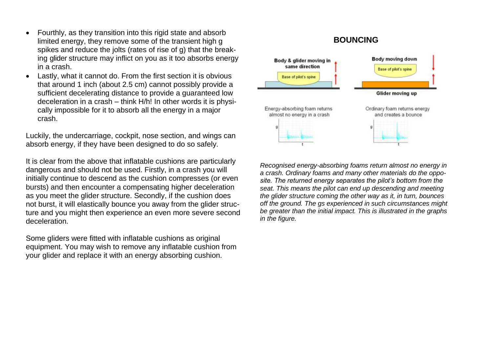- Fourthly, as they transition into this rigid state and absorb limited energy, they remove some of the transient high g spikes and reduce the jolts (rates of rise of g) that the breaking glider structure may inflict on you as it too absorbs energy in a crash.
- Lastly, what it cannot do. From the first section it is obvious that around 1 inch (about 2.5 cm) cannot possibly provide a sufficient decelerating distance to provide a guaranteed low deceleration in a crash – think H/h! In other words it is physically impossible for it to absorb all the energy in a major crash.

Luckily, the undercarriage, cockpit, nose section, and wings can absorb energy, if they have been designed to do so safely.

It is clear from the above that inflatable cushions are particularly dangerous and should not be used. Firstly, in a crash you will initially continue to descend as the cushion compresses (or even bursts) and then encounter a compensating higher deceleration as you meet the glider structure. Secondly, if the cushion does not burst, it will elastically bounce you away from the glider structure and you might then experience an even more severe second deceleration.

Some gliders were fitted with inflatable cushions as original equipment. You may wish to remove any inflatable cushion from your glider and replace it with an energy absorbing cushion.

#### **BOUNCING**



*Recognised energy-absorbing foams return almost no energy in a crash. Ordinary foams and many other materials do the opposite. The returned energy separates the pilot's bottom from the seat. This means the pilot can end up descending and meeting the glider structure coming the other way as it, in turn, bounces off the ground. The gs experienced in such circumstances might be greater than the initial impact. This is illustrated in the graphs in the figure.*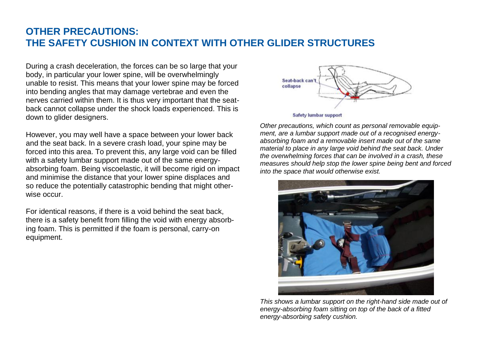#### **OTHER PRECAUTIONS: THE SAFETY CUSHION IN CONTEXT WITH OTHER GLIDER STRUCTURES**

During a crash deceleration, the forces can be so large that your body, in particular your lower spine, will be overwhelmingly unable to resist. This means that your lower spine may be forced into bending angles that may damage vertebrae and even the nerves carried within them. It is thus very important that the seatback cannot collapse under the shock loads experienced. This is down to glider designers.

However, you may well have a space between your lower back and the seat back. In a severe crash load, your spine may be forced into this area. To prevent this, any large void can be filled with a safety lumbar support made out of the same energyabsorbing foam. Being viscoelastic, it will become rigid on impact and minimise the distance that your lower spine displaces and so reduce the potentially catastrophic bending that might otherwise occur.

For identical reasons, if there is a void behind the seat back, there is a safety benefit from filling the void with energy absorbing foam. This is permitted if the foam is personal, carry-on equipment.



*Other precautions, which count as personal removable equipment, are a lumbar support made out of a recognised energyabsorbing foam and a removable insert made out of the same material to place in any large void behind the seat back. Under the overwhelming forces that can be involved in a crash, these measures should help stop the lower spine being bent and forced into the space that would otherwise exist.* 



*This shows a lumbar support on the right-hand side made out of energy-absorbing foam sitting on top of the back of a fitted energy-absorbing safety cushion.*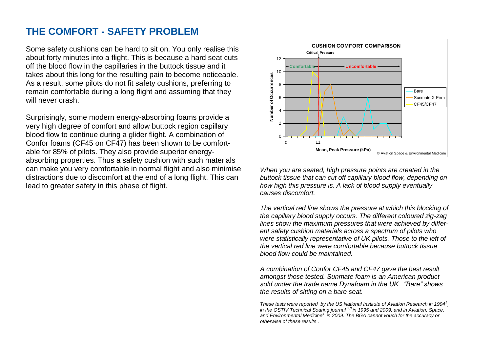#### **THE COMFORT - SAFETY PROBLEM**

Some safety cushions can be hard to sit on. You only realise this about forty minutes into a flight. This is because a hard seat cuts off the blood flow in the capillaries in the buttock tissue and it takes about this long for the resulting pain to become noticeable. As a result, some pilots do not fit safety cushions, preferring to remain comfortable during a long flight and assuming that they will never crash.

Surprisingly, some modern energy-absorbing foams provide a very high degree of comfort and allow buttock region capillary blood flow to continue during a glider flight. A combination of Confor foams (CF45 on CF47) has been shown to be comfortable for 85% of pilots. They also provide superior energyabsorbing properties. Thus a safety cushion with such materials can make you very comfortable in normal flight and also minimise distractions due to discomfort at the end of a long flight. This can lead to greater safety in this phase of flight.



*When you are seated, high pressure points are created in the buttock tissue that can cut off capillary blood flow, depending on how high this pressure is. A lack of blood supply eventually causes discomfort.* 

*The vertical red line shows the pressure at which this blocking of the capillary blood supply occurs. The different coloured zig-zag lines show the maximum pressures that were achieved by different safety cushion materials across a spectrum of pilots who were statistically representative of UK pilots. Those to the left of the vertical red line were comfortable because buttock tissue blood flow could be maintained.* 

*A combination of Confor CF45 and CF47 gave the best result amongst those tested. Sunmate foam is an American product sold under the trade name Dynafoam in the UK. "Bare" shows the results of sitting on a bare seat.*

*These tests were reported by the US National Institute of Aviation Research in 1994<sup>1</sup> , in the OSTIV Technical Soaring journal 2,3 in 1995 and 2009, and in Aviation, Space, and Environmental Medicine<sup>4</sup>in 2009. The BGA cannot vouch for the accuracy or otherwise of these results .*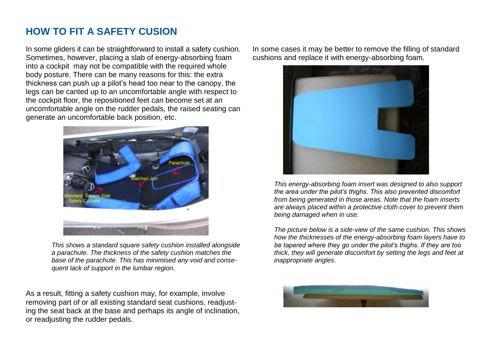## **HOW TO FIT A SAFETY CUSION**

In some gliders it can be straightforward to install a safety cushion. Sometimes, however, placing a slab of energy-absorbing foam into a cockpit may not be compatible with the required whole body posture. There can be many reasons for this: the extra thickness can push up a pilot's head too near to the canopy, the legs can be canted up to an uncomfortable angle with respect to the cockpit floor, the repositioned feet can become set at an uncomfortable angle on the rudder pedals, the raised seating can generate an uncomfortable back position, etc.



*This shows a standard square safety cushion installed alongside a parachute. The thickness of the safety cushion matches the base of the parachute. This has minimised any void and consequent lack of support in the lumbar region.*

As a result, fitting a safety cushion may, for example, involve removing part of or all existing standard seat cushions, readjusting the seat back at the base and perhaps its angle of inclination, or readjusting the rudder pedals.

In some cases it may be better to remove the filling of standard cushions and replace it with energy-absorbing foam.



*This energy-absorbing foam insert was designed to also support the area under the pilot's thighs. This also prevented discomfort from being generated in those areas. Note that the foam inserts are always placed within a protective cloth cover to prevent them being damaged when in use.*

*The picture below is a side-view of the same cushion. This shows how the thicknesses of the energy-absorbing foam layers have to be tapered where they go under the pilot's thighs. If they are too thick, they will generate discomfort by setting the legs and feet at inappropriate angles.*

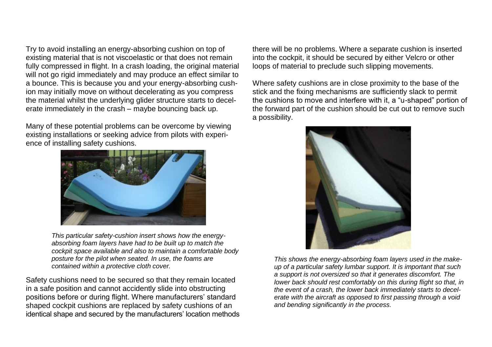Try to avoid installing an energy-absorbing cushion on top of existing material that is not viscoelastic or that does not remain fully compressed in flight. In a crash loading, the original material will not go rigid immediately and may produce an effect similar to a bounce. This is because you and your energy-absorbing cushion may initially move on without decelerating as you compress the material whilst the underlying glider structure starts to decelerate immediately in the crash – maybe bouncing back up.

Many of these potential problems can be overcome by viewing existing installations or seeking advice from pilots with experience of installing safety cushions.



*This particular safety-cushion insert shows how the energyabsorbing foam layers have had to be built up to match the cockpit space available and also to maintain a comfortable body posture for the pilot when seated. In use, the foams are contained within a protective cloth cover.*

Safety cushions need to be secured so that they remain located in a safe position and cannot accidently slide into obstructing positions before or during flight. Where manufacturers' standard shaped cockpit cushions are replaced by safety cushions of an identical shape and secured by the manufacturers' location methods there will be no problems. Where a separate cushion is inserted into the cockpit, it should be secured by either Velcro or other loops of material to preclude such slipping movements.

Where safety cushions are in close proximity to the base of the stick and the fixing mechanisms are sufficiently slack to permit the cushions to move and interfere with it, a "u-shaped" portion of the forward part of the cushion should be cut out to remove such a possibility.



*This shows the energy-absorbing foam layers used in the makeup of a particular safety lumbar support. It is important that such a support is not oversized so that it generates discomfort. The lower back should rest comfortably on this during flight so that, in the event of a crash, the lower back immediately starts to decelerate with the aircraft as opposed to first passing through a void and bending significantly in the process.*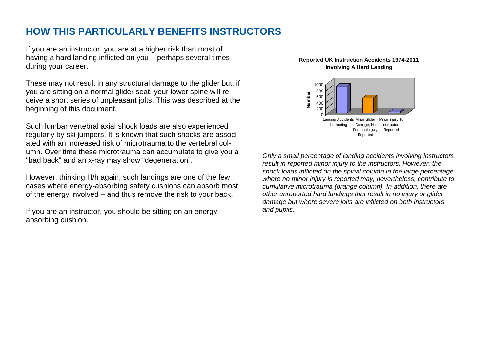#### **HOW THIS PARTICULARLY BENEFITS INSTRUCTORS**

If you are an instructor, you are at a higher risk than most of having a hard landing inflicted on you – perhaps several times during your career.

These may not result in any structural damage to the glider but, if you are sitting on a normal glider seat, your lower spine will receive a short series of unpleasant jolts. This was described at the beginning of this document.

Such lumbar vertebral axial shock loads are also experienced regularly by ski jumpers. It is known that such shocks are associated with an increased risk of microtrauma to the vertebral column. Over time these microtrauma can accumulate to give you a "bad back" and an x-ray may show "degeneration".

However, thinking H/h again, such landings are one of the few cases where energy-absorbing safety cushions can absorb most of the energy involved – and thus remove the risk to your back.

If you are an instructor, you should be sitting on an energyabsorbing cushion.



*Only a small percentage of landing accidents involving instructors result in reported minor injury to the instructors. However, the shock loads inflicted on the spinal column in the large percentage where no minor injury is reported may, nevertheless, contribute to cumulative microtrauma (orange column). In addition, there are other unreported hard landings that result in no injury or glider damage but where severe jolts are inflicted on both instructors and pupils.*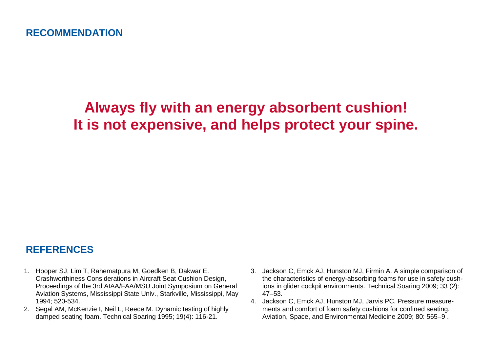# **Always fly with an energy absorbent cushion! It is not expensive, and helps protect your spine.**

## **REFERENCES**

- 1. Hooper SJ, Lim T, Rahematpura M, Goedken B, Dakwar E. Crashworthiness Considerations in Aircraft Seat Cushion Design, Proceedings of the 3rd AIAA/FAA/MSU Joint Symposium on General Aviation Systems, Mississippi State Univ., Starkville, Mississippi, May 1994; 520-534.
- 2. Segal AM, McKenzie I, Neil L, Reece M. Dynamic testing of highly damped seating foam. Technical Soaring 1995; 19(4): 116-21.
- 3. Jackson C, Emck AJ, Hunston MJ, Firmin A. A simple comparison of the characteristics of energy-absorbing foams for use in safety cushions in glider cockpit environments. Technical Soaring 2009; 33 (2): 47–53.
- 4. Jackson C, Emck AJ, Hunston MJ, Jarvis PC. Pressure measurements and comfort of foam safety cushions for confined seating. Aviation, Space, and Environmental Medicine 2009; 80: 565–9 .